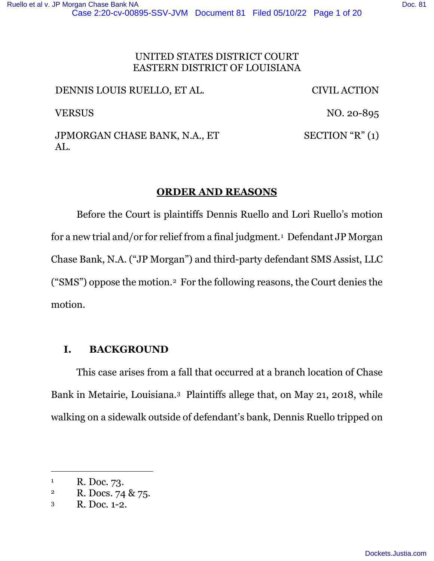# EASTERN DISTRICT OF LOUISIANA

DENNIS LOUIS RUELLO, ET AL. CIVIL ACTION VERSUS NO. 20-895 JPMORGAN CHASE BANK, N.A., ET AL. SECTION "R" (1)

## **ORDER AND REASONS**

Before the Court is plaintiffs Dennis Ruello and Lori Ruello's motion for a new trial and/or for relief from a final judgment.<sup>1</sup> Defendant JP Morgan Chase Bank, N.A. ("JP Morgan") and third-party defendant SMS Assist, LLC ("SMS") oppose the motion.2 For the following reasons, the Court denies the motion.

## **I. BACKGROUND**

This case arises from a fall that occurred at a branch location of Chase Bank in Metairie, Louisiana.3 Plaintiffs allege that, on May 21, 2018, while walking on a sidewalk outside of defendant's bank, Dennis Ruello tripped on

<sup>1</sup> R. Doc. 73.

<sup>&</sup>lt;sup>2</sup> R. Docs. 74 & 75.

<sup>3</sup> R. Doc. 1-2.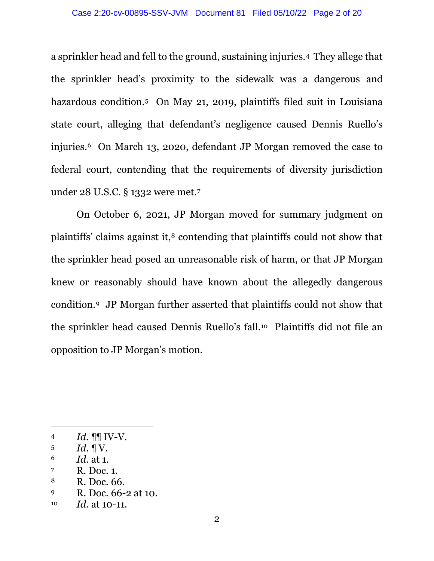a sprinkler head and fell to the ground, sustaining injuries.4 They allege that the sprinkler head's proximity to the sidewalk was a dangerous and hazardous condition. <sup>5</sup> On May 21, 2019, plaintiffs filed suit in Louisiana state court, alleging that defendant's negligence caused Dennis Ruello's injuries. <sup>6</sup> On March 13, 2020, defendant JP Morgan removed the case to federal court, contending that the requirements of diversity jurisdiction under 28 U.S.C. § 1332 were met.<sup>7</sup>

On October 6, 2021, JP Morgan moved for summary judgment on plaintiffs' claims against it, <sup>8</sup> contending that plaintiffs could not show that the sprinkler head posed an unreasonable risk of harm, or that JP Morgan knew or reasonably should have known about the allegedly dangerous condition. <sup>9</sup> JP Morgan further asserted that plaintiffs could not show that the sprinkler head caused Dennis Ruello's fall.10 Plaintiffs did not file an opposition to JP Morgan's motion.

<sup>4</sup>  $Id. \P\P W-V.$ 

 $15$  *Id.*  $1\,\mathrm{V}$ .

<sup>6</sup> *Id.* at 1.

<sup>7</sup> R. Doc. 1.

<sup>8</sup> R. Doc. 66.

<sup>9</sup> R. Doc. 66-2 at 10.

<sup>10</sup> *Id.* at 10-11.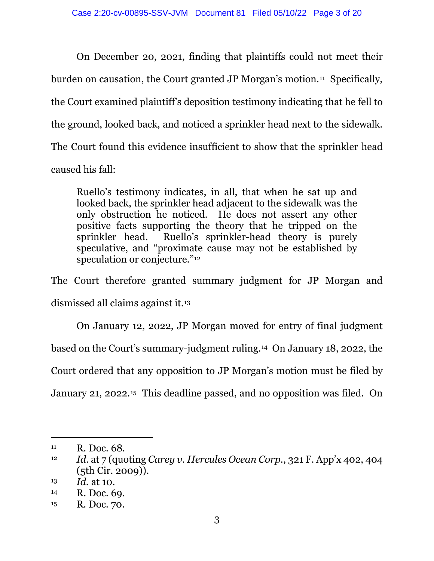On December 20, 2021, finding that plaintiffs could not meet their burden on causation, the Court granted JP Morgan's motion.<sup>11</sup> Specifically, the Court examined plaintiff's deposition testimony indicating that he fell to the ground, looked back, and noticed a sprinkler head next to the sidewalk. The Court found this evidence insufficient to show that the sprinkler head caused his fall:

Ruello's testimony indicates, in all, that when he sat up and looked back, the sprinkler head adjacent to the sidewalk was the only obstruction he noticed. He does not assert any other positive facts supporting the theory that he tripped on the sprinkler head. Ruello's sprinkler-head theory is purely speculative, and "proximate cause may not be established by speculation or conjecture."<sup>12</sup>

The Court therefore granted summary judgment for JP Morgan and dismissed all claims against it. 13

On January 12, 2022, JP Morgan moved for entry of final judgment based on the Court's summary-judgment ruling. <sup>14</sup> On January 18, 2022, the Court ordered that any opposition to JP Morgan's motion must be filed by January 21, 2022.15 This deadline passed, and no opposition was filed. On

<sup>11</sup> R. Doc. 68.

<sup>12</sup> *Id.* at 7 (quoting *Carey v. Hercules Ocean Corp.*, 321 F. App'x 402, 404 (5th Cir. 2009)).

<sup>13</sup> *Id.* at 10.

<sup>14</sup> R. Doc. 69.

<sup>15</sup> R. Doc. 70.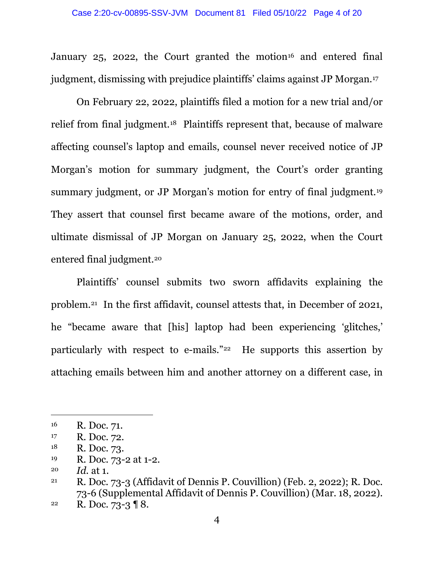January 25, 2022, the Court granted the motion<sup>16</sup> and entered final judgment, dismissing with prejudice plaintiffs' claims against JP Morgan.<sup>17</sup>

On February 22, 2022, plaintiffs filed a motion for a new trial and/or relief from final judgment.18 Plaintiffs represent that, because of malware affecting counsel's laptop and emails, counsel never received notice of JP Morgan's motion for summary judgment, the Court's order granting summary judgment, or JP Morgan's motion for entry of final judgment. 19 They assert that counsel first became aware of the motions, order, and ultimate dismissal of JP Morgan on January 25, 2022, when the Court entered final judgment.<sup>20</sup>

Plaintiffs' counsel submits two sworn affidavits explaining the problem.<sup>21</sup> In the first affidavit, counsel attests that, in December of 2021, he "became aware that [his] laptop had been experiencing 'glitches,' particularly with respect to e-mails."22 He supports this assertion by attaching emails between him and another attorney on a different case, in

<sup>16</sup> R. Doc. 71.

<sup>17</sup> R. Doc. 72.

<sup>18</sup> R. Doc. 73.

<sup>19</sup> R. Doc. 73-2 at 1-2.

<sup>20</sup> *Id.* at 1.

<sup>21</sup> R. Doc. 73-3 (Affidavit of Dennis P. Couvillion) (Feb. 2, 2022); R. Doc. 73-6 (Supplemental Affidavit of Dennis P. Couvillion) (Mar. 18, 2022).

<sup>&</sup>lt;sup>22</sup> R. Doc. 73-3  $\sqrt{8}$ .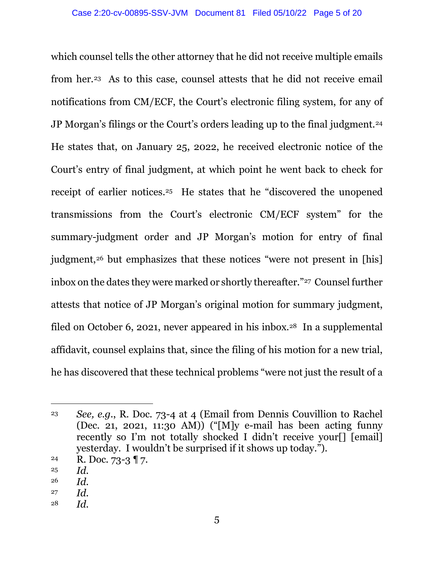which counsel tells the other attorney that he did not receive multiple emails from her.23 As to this case, counsel attests that he did not receive email notifications from CM/ECF, the Court's electronic filing system, for any of JP Morgan's filings or the Court's orders leading up to the final judgment.<sup>24</sup> He states that, on January 25, 2022, he received electronic notice of the Court's entry of final judgment, at which point he went back to check for receipt of earlier notices. <sup>25</sup> He states that he "discovered the unopened transmissions from the Court's electronic CM/ECF system" for the summary-judgment order and JP Morgan's motion for entry of final judgment,<sup>26</sup> but emphasizes that these notices "were not present in [his] inbox on the dates they were marked or shortly thereafter."<sup>27</sup> Counsel further attests that notice of JP Morgan's original motion for summary judgment, filed on October 6, 2021, never appeared in his inbox.<sup>28</sup> In a supplemental affidavit, counsel explains that, since the filing of his motion for a new trial, he has discovered that these technical problems "were not just the result of a

- 27 *Id.*
- <sup>28</sup> *Id.*

<sup>23</sup> *See, e.g.*, R. Doc. 73-4 at 4 (Email from Dennis Couvillion to Rachel (Dec. 21, 2021, 11:30 AM)) ("[M]y e-mail has been acting funny recently so I'm not totally shocked I didn't receive your[] [email] yesterday. I wouldn't be surprised if it shows up today.").

<sup>&</sup>lt;sup>24</sup> R. Doc. 73-3  $\P$  7.

<sup>25</sup> *Id.*

<sup>26</sup> *Id.*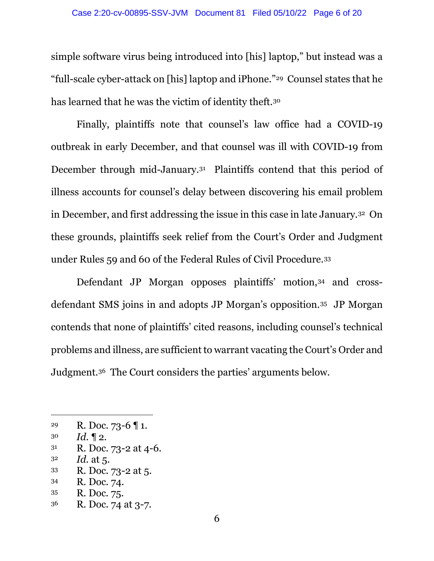simple software virus being introduced into [his] laptop," but instead was a "full-scale cyber-attack on [his] laptop and iPhone."29 Counsel states that he has learned that he was the victim of identity theft.<sup>30</sup>

Finally, plaintiffs note that counsel's law office had a COVID-19 outbreak in early December, and that counsel was ill with COVID-19 from December through mid-January.<sup>31</sup> Plaintiffs contend that this period of illness accounts for counsel's delay between discovering his email problem in December, and first addressing the issue in this case in late January.32 On these grounds, plaintiffs seek relief from the Court's Order and Judgment under Rules 59 and 60 of the Federal Rules of Civil Procedure.<sup>33</sup>

Defendant JP Morgan opposes plaintiffs' motion, 34 and crossdefendant SMS joins in and adopts JP Morgan's opposition.35 JP Morgan contends that none of plaintiffs' cited reasons, including counsel's technical problems and illness, are sufficient to warrant vacating the Court's Order and Judgment.36 The Court considers the parties' arguments below.

- <sup>32</sup> *Id.* at 5.
- <sup>33</sup> R. Doc. 73-2 at 5.
- <sup>34</sup> R. Doc. 74.
- <sup>35</sup> R. Doc. 75.
- <sup>36</sup> R. Doc. 74 at 3-7.

<sup>&</sup>lt;sup>29</sup> R. Doc. 73-6  $\P$  1.

<sup>30</sup> *Id.* ¶ 2.

<sup>31</sup> R. Doc. 73-2 at 4-6.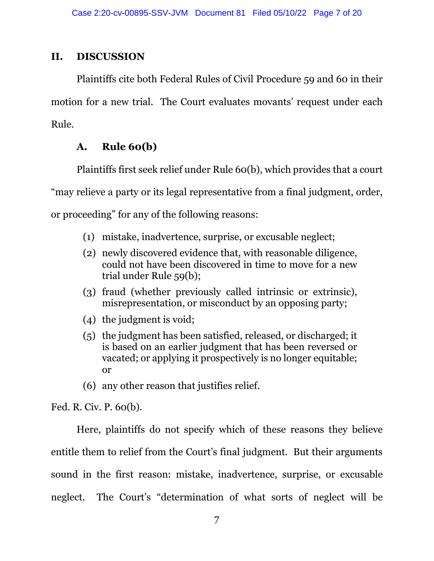### **II. DISCUSSION**

Plaintiffs cite both Federal Rules of Civil Procedure 59 and 60 in their motion for a new trial. The Court evaluates movants' request under each Rule.

## **A. Rule 60(b)**

Plaintiffs first seek relief under Rule 60(b), which provides that a court "may relieve a party or its legal representative from a final judgment, order, or proceeding" for any of the following reasons:

- (1) mistake, inadvertence, surprise, or excusable neglect;
- (2) newly discovered evidence that, with reasonable diligence, could not have been discovered in time to move for a new trial under Rule 59(b);
- (3) fraud (whether previously called intrinsic or extrinsic), misrepresentation, or misconduct by an opposing party;
- (4) the judgment is void;
- (5) the judgment has been satisfied, released, or discharged; it is based on an earlier judgment that has been reversed or vacated; or applying it prospectively is no longer equitable; or
- (6) any other reason that justifies relief.

Fed. R. Civ. P. 60(b).

Here, plaintiffs do not specify which of these reasons they believe entitle them to relief from the Court's final judgment. But their arguments sound in the first reason: mistake, inadvertence, surprise, or excusable neglect. The Court's "determination of what sorts of neglect will be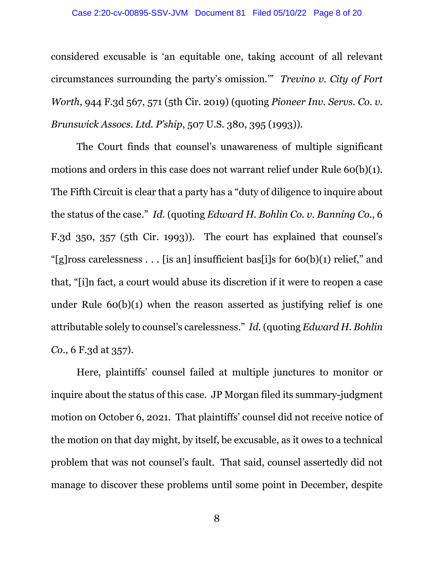considered excusable is 'an equitable one, taking account of all relevant circumstances surrounding the party's omission.'" *Trevino v. City of Fort Worth*, 944 F.3d 567, 571 (5th Cir. 2019) (quoting *Pioneer Inv. Servs. Co. v. Brunswick Assocs. Ltd. P'ship*, 507 U.S. 380, 395 (1993)).

The Court finds that counsel's unawareness of multiple significant motions and orders in this case does not warrant relief under Rule 60(b)(1). The Fifth Circuit is clear that a party has a "duty of diligence to inquire about the status of the case." *Id.* (quoting *Edward H. Bohlin Co. v. Banning Co.*, 6 F.3d 350, 357 (5th Cir. 1993)). The court has explained that counsel's "[g]ross carelessness . . . [is an] insufficient bas[i]s for  $60(b)(1)$  relief," and that, "[i]n fact, a court would abuse its discretion if it were to reopen a case under Rule  $60(b)(1)$  when the reason asserted as justifying relief is one attributable solely to counsel's carelessness." *Id.* (quoting *Edward H. Bohlin Co.*, 6 F.3d at 357).

Here, plaintiffs' counsel failed at multiple junctures to monitor or inquire about the status of this case. JP Morgan filed its summary-judgment motion on October 6, 2021. That plaintiffs' counsel did not receive notice of the motion on that day might, by itself, be excusable, as it owes to a technical problem that was not counsel's fault. That said, counsel assertedly did not manage to discover these problems until some point in December, despite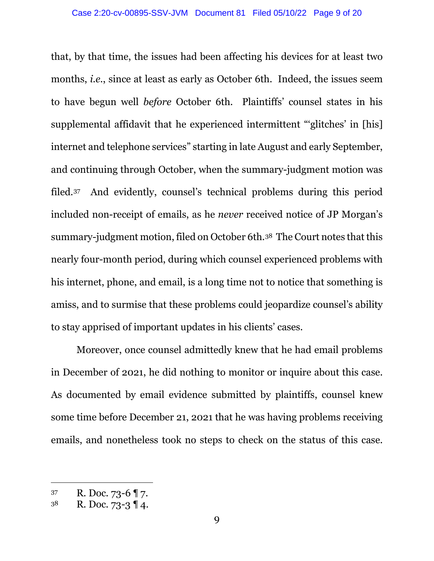that, by that time, the issues had been affecting his devices for at least two months, *i.e.*, since at least as early as October 6th. Indeed, the issues seem to have begun well *before* October 6th. Plaintiffs' counsel states in his supplemental affidavit that he experienced intermittent "'glitches' in [his] internet and telephone services" starting in late August and early September, and continuing through October, when the summary-judgment motion was filed.<sup>37</sup> And evidently, counsel's technical problems during this period included non-receipt of emails, as he *never* received notice of JP Morgan's summary-judgment motion, filed on October 6th.38 The Court notes that this nearly four-month period, during which counsel experienced problems with his internet, phone, and email, is a long time not to notice that something is amiss, and to surmise that these problems could jeopardize counsel's ability to stay apprised of important updates in his clients' cases.

Moreover, once counsel admittedly knew that he had email problems in December of 2021, he did nothing to monitor or inquire about this case. As documented by email evidence submitted by plaintiffs, counsel knew some time before December 21, 2021 that he was having problems receiving emails, and nonetheless took no steps to check on the status of this case.

<sup>37</sup> R. Doc. 73-6 ¶ 7.

 $3^8$  R. Doc. 73-3 14.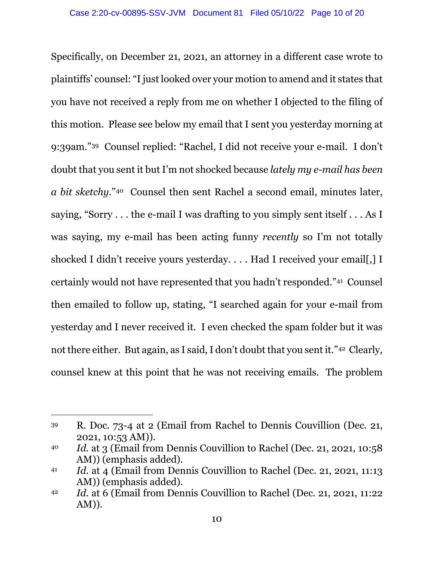Specifically, on December 21, 2021, an attorney in a different case wrote to plaintiffs' counsel: "I just looked over your motion to amend and it states that you have not received a reply from me on whether I objected to the filing of this motion. Please see below my email that I sent you yesterday morning at 9:39am."39 Counsel replied: "Rachel, I did not receive your e-mail. I don't doubt that you sent it but I'm not shocked because *lately my e-mail has been a bit sketchy*."40 Counsel then sent Rachel a second email, minutes later, saying, "Sorry . . . the e-mail I was drafting to you simply sent itself . . . As I was saying, my e-mail has been acting funny *recently* so I'm not totally shocked I didn't receive yours yesterday. . . . Had I received your email. I I certainly would not have represented that you hadn't responded."<sup>41</sup> Counsel then emailed to follow up, stating, "I searched again for your e-mail from yesterday and I never received it. I even checked the spam folder but it was not there either. But again, as I said, I don't doubt that you sent it."42 Clearly, counsel knew at this point that he was not receiving emails. The problem

<sup>39</sup> R. Doc. 73-4 at 2 (Email from Rachel to Dennis Couvillion (Dec. 21, 2021, 10:53 AM)).

<sup>40</sup> *Id.* at 3 (Email from Dennis Couvillion to Rachel (Dec. 21, 2021, 10:58 AM)) (emphasis added).

<sup>41</sup> *Id.* at 4 (Email from Dennis Couvillion to Rachel (Dec. 21, 2021, 11:13) AM)) (emphasis added).

<sup>42</sup> *Id.* at 6 (Email from Dennis Couvillion to Rachel (Dec. 21, 2021, 11:22 AM)).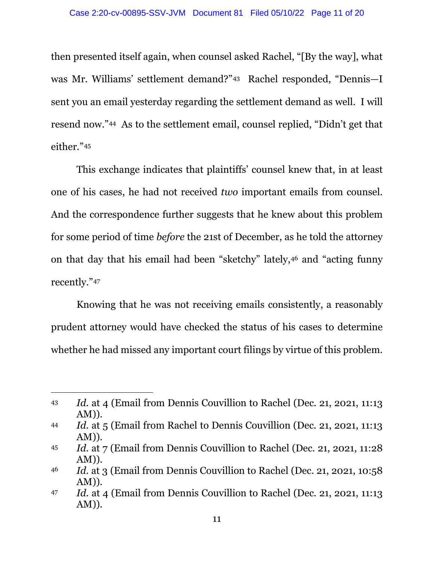then presented itself again, when counsel asked Rachel, "[By the way], what was Mr. Williams' settlement demand?"43 Rachel responded, "Dennis—I sent you an email yesterday regarding the settlement demand as well. I will resend now."44 As to the settlement email, counsel replied, "Didn't get that either."<sup>45</sup>

This exchange indicates that plaintiffs' counsel knew that, in at least one of his cases, he had not received *two* important emails from counsel. And the correspondence further suggests that he knew about this problem for some period of time *before* the 21st of December, as he told the attorney on that day that his email had been "sketchy" lately, <sup>46</sup> and "acting funny recently."<sup>47</sup>

Knowing that he was not receiving emails consistently, a reasonably prudent attorney would have checked the status of his cases to determine whether he had missed any important court filings by virtue of this problem.

<sup>43</sup> *Id.* at 4 (Email from Dennis Couvillion to Rachel (Dec. 21, 2021, 11:13 AM)).

<sup>44</sup> *Id.* at 5 (Email from Rachel to Dennis Couvillion (Dec. 21, 2021, 11:13 AM)).

<sup>45</sup> *Id.* at 7 (Email from Dennis Couvillion to Rachel (Dec. 21, 2021, 11:28 AM)).

<sup>46</sup> *Id.* at 3 (Email from Dennis Couvillion to Rachel (Dec. 21, 2021, 10:58 AM)).

<sup>47</sup> *Id.* at 4 (Email from Dennis Couvillion to Rachel (Dec. 21, 2021, 11:13) AM)).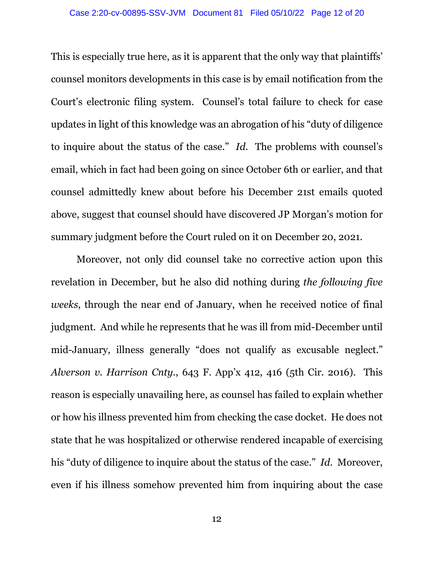This is especially true here, as it is apparent that the only way that plaintiffs' counsel monitors developments in this case is by email notification from the Court's electronic filing system. Counsel's total failure to check for case updates in light of this knowledge was an abrogation of his "duty of diligence to inquire about the status of the case." *Id.* The problems with counsel's email, which in fact had been going on since October 6th or earlier, and that counsel admittedly knew about before his December 21st emails quoted above, suggest that counsel should have discovered JP Morgan's motion for summary judgment before the Court ruled on it on December 20, 2021.

Moreover, not only did counsel take no corrective action upon this revelation in December, but he also did nothing during *the following five weeks*, through the near end of January, when he received notice of final judgment. And while he represents that he was ill from mid-December until mid-January, illness generally "does not qualify as excusable neglect." *Alverson v. Harrison Cnty.*, 643 F. App'x 412, 416 (5th Cir. 2016). This reason is especially unavailing here, as counsel has failed to explain whether or how his illness prevented him from checking the case docket. He does not state that he was hospitalized or otherwise rendered incapable of exercising his "duty of diligence to inquire about the status of the case." *Id.* Moreover, even if his illness somehow prevented him from inquiring about the case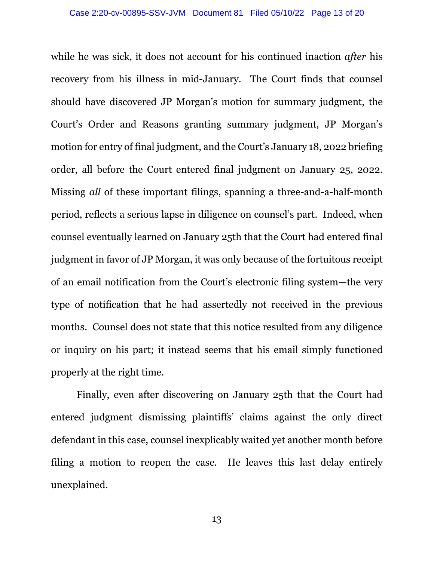while he was sick, it does not account for his continued inaction *after* his recovery from his illness in mid-January. The Court finds that counsel should have discovered JP Morgan's motion for summary judgment, the Court's Order and Reasons granting summary judgment, JP Morgan's motion for entry of final judgment, and the Court's January 18, 2022 briefing order, all before the Court entered final judgment on January 25, 2022. Missing *all* of these important filings, spanning a three-and-a-half-month period, reflects a serious lapse in diligence on counsel's part. Indeed, when counsel eventually learned on January 25th that the Court had entered final judgment in favor of JP Morgan, it was only because of the fortuitous receipt of an email notification from the Court's electronic filing system—the very type of notification that he had assertedly not received in the previous months. Counsel does not state that this notice resulted from any diligence or inquiry on his part; it instead seems that his email simply functioned properly at the right time.

Finally, even after discovering on January 25th that the Court had entered judgment dismissing plaintiffs' claims against the only direct defendant in this case, counsel inexplicably waited yet another month before filing a motion to reopen the case. He leaves this last delay entirely unexplained.

13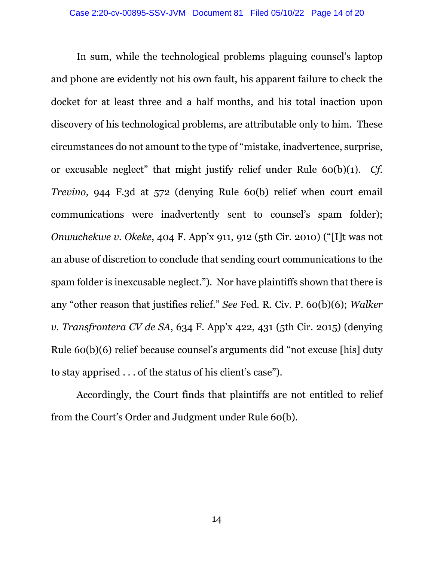In sum, while the technological problems plaguing counsel's laptop and phone are evidently not his own fault, his apparent failure to check the docket for at least three and a half months, and his total inaction upon discovery of his technological problems, are attributable only to him. These circumstances do not amount to the type of "mistake, inadvertence, surprise, or excusable neglect" that might justify relief under Rule 60(b)(1). *Cf. Trevino*, 944 F.3d at 572 (denying Rule 60(b) relief when court email communications were inadvertently sent to counsel's spam folder); *Onwuchekwe v. Okeke*, 404 F. App'x 911, 912 (5th Cir. 2010) ("[I]t was not an abuse of discretion to conclude that sending court communications to the spam folder is inexcusable neglect."). Nor have plaintiffs shown that there is any "other reason that justifies relief." *See* Fed. R. Civ. P. 60(b)(6); *Walker v. Transfrontera CV de SA*, 634 F. App'x 422, 431 (5th Cir. 2015) (denying Rule 60(b)(6) relief because counsel's arguments did "not excuse [his] duty to stay apprised . . . of the status of his client's case").

Accordingly, the Court finds that plaintiffs are not entitled to relief from the Court's Order and Judgment under Rule 60(b).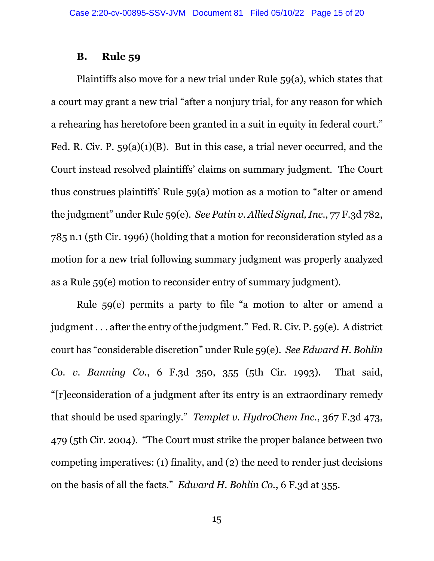#### **B. Rule 59**

Plaintiffs also move for a new trial under Rule 59(a), which states that a court may grant a new trial "after a nonjury trial, for any reason for which a rehearing has heretofore been granted in a suit in equity in federal court." Fed. R. Civ. P. 59(a)(1)(B). But in this case, a trial never occurred, and the Court instead resolved plaintiffs' claims on summary judgment. The Court thus construes plaintiffs' Rule 59(a) motion as a motion to "alter or amend the judgment" under Rule 59(e). *See Patin v. Allied Signal, Inc.*, 77 F.3d 782, 785 n.1 (5th Cir. 1996) (holding that a motion for reconsideration styled as a motion for a new trial following summary judgment was properly analyzed as a Rule 59(e) motion to reconsider entry of summary judgment).

Rule 59(e) permits a party to file "a motion to alter or amend a judgment . . . after the entry of the judgment." Fed. R. Civ. P. 59(e). A district court has "considerable discretion" under Rule 59(e). *See Edward H. Bohlin Co. v. Banning Co.*, 6 F.3d 350, 355 (5th Cir. 1993). That said, "[r]econsideration of a judgment after its entry is an extraordinary remedy that should be used sparingly." *Templet v. HydroChem Inc.*, 367 F.3d 473, 479 (5th Cir. 2004). "The Court must strike the proper balance between two competing imperatives: (1) finality, and (2) the need to render just decisions on the basis of all the facts." *Edward H. Bohlin Co.*, 6 F.3d at 355.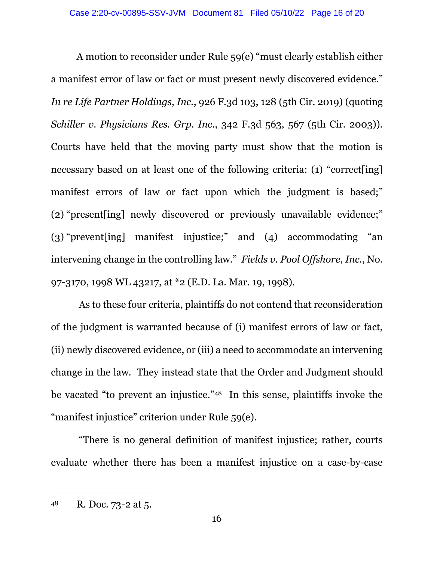A motion to reconsider under Rule 59(e) "must clearly establish either a manifest error of law or fact or must present newly discovered evidence." *In re Life Partner Holdings, Inc.*, 926 F.3d 103, 128 (5th Cir. 2019) (quoting *Schiller v. Physicians Res. Grp. Inc.*, 342 F.3d 563, 567 (5th Cir. 2003)). Courts have held that the moving party must show that the motion is necessary based on at least one of the following criteria: (1) "correct[ing] manifest errors of law or fact upon which the judgment is based;" (2) "present[ing] newly discovered or previously unavailable evidence;" (3) "prevent[ing] manifest injustice;" and (4) accommodating "an intervening change in the controlling law." *Fields v. Pool Offshore, Inc.*, No. 97-3170, 1998 WL 43217, at \*2 (E.D. La. Mar. 19, 1998).

 As to these four criteria, plaintiffs do not contend that reconsideration of the judgment is warranted because of (i) manifest errors of law or fact, (ii) newly discovered evidence, or (iii) a need to accommodate an intervening change in the law. They instead state that the Order and Judgment should be vacated "to prevent an injustice." <sup>48</sup> In this sense, plaintiffs invoke the "manifest injustice" criterion under Rule 59(e).

 "There is no general definition of manifest injustice; rather, courts evaluate whether there has been a manifest injustice on a case-by-case

<sup>48</sup> R. Doc. 73-2 at 5.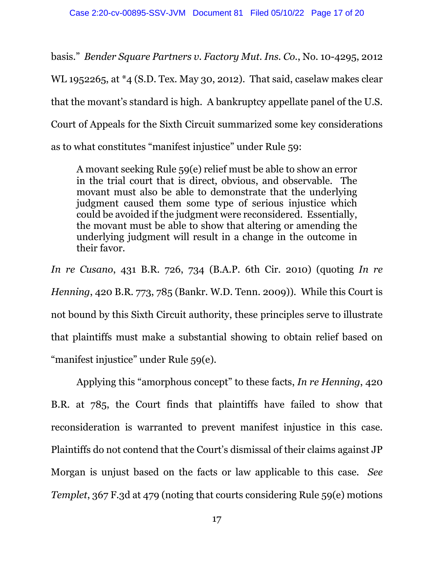basis." *Bender Square Partners v. Factory Mut. Ins. Co.*, No. 10-4295, 2012 WL 1952265, at \*4 (S.D. Tex. May 30, 2012). That said, caselaw makes clear that the movant's standard is high. A bankruptcy appellate panel of the U.S. Court of Appeals for the Sixth Circuit summarized some key considerations as to what constitutes "manifest injustice" under Rule 59:

A movant seeking Rule 59(e) relief must be able to show an error in the trial court that is direct, obvious, and observable. The movant must also be able to demonstrate that the underlying judgment caused them some type of serious injustice which could be avoided if the judgment were reconsidered. Essentially, the movant must be able to show that altering or amending the underlying judgment will result in a change in the outcome in their favor.

*In re Cusano*, 431 B.R. 726, 734 (B.A.P. 6th Cir. 2010) (quoting *In re Henning*, 420 B.R. 773, 785 (Bankr. W.D. Tenn. 2009)). While this Court is not bound by this Sixth Circuit authority, these principles serve to illustrate that plaintiffs must make a substantial showing to obtain relief based on "manifest injustice" under Rule 59(e).

Applying this "amorphous concept" to these facts, *In re Henning*, 420 B.R. at 785, the Court finds that plaintiffs have failed to show that reconsideration is warranted to prevent manifest injustice in this case. Plaintiffs do not contend that the Court's dismissal of their claims against JP Morgan is unjust based on the facts or law applicable to this case. *See Templet*, 367 F.3d at 479 (noting that courts considering Rule 59(e) motions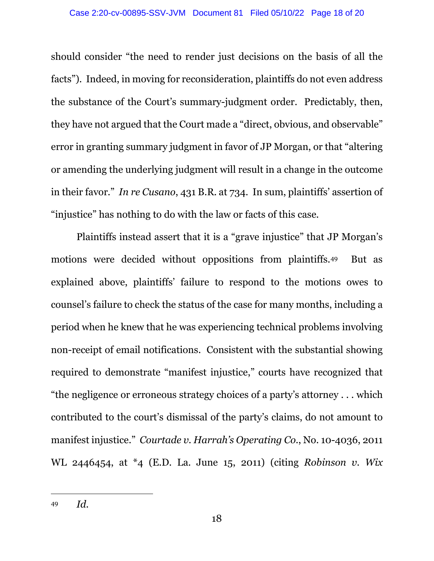should consider "the need to render just decisions on the basis of all the facts"). Indeed, in moving for reconsideration, plaintiffs do not even address the substance of the Court's summary-judgment order. Predictably, then, they have not argued that the Court made a "direct, obvious, and observable" error in granting summary judgment in favor of JP Morgan, or that "altering or amending the underlying judgment will result in a change in the outcome in their favor." *In re Cusano*, 431 B.R. at 734. In sum, plaintiffs' assertion of "injustice" has nothing to do with the law or facts of this case.

Plaintiffs instead assert that it is a "grave injustice" that JP Morgan's motions were decided without oppositions from plaintiffs.49 But as explained above, plaintiffs' failure to respond to the motions owes to counsel's failure to check the status of the case for many months, including a period when he knew that he was experiencing technical problems involving non-receipt of email notifications. Consistent with the substantial showing required to demonstrate "manifest injustice," courts have recognized that "the negligence or erroneous strategy choices of a party's attorney . . . which contributed to the court's dismissal of the party's claims, do not amount to manifest injustice." *Courtade v. Harrah's Operating Co.*, No. 10-4036, 2011 WL 2446454, at \*4 (E.D. La. June 15, 2011) (citing *Robinson v. Wix*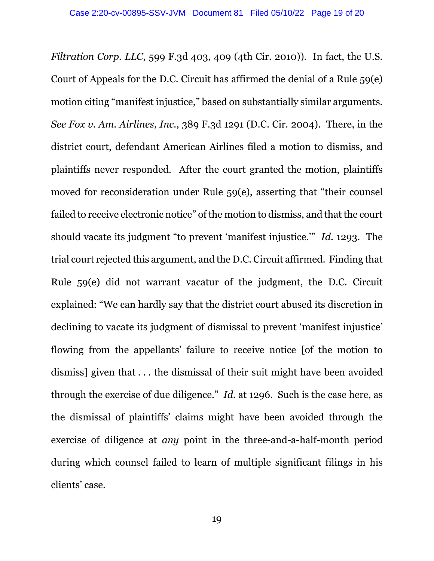*Filtration Corp. LLC*, 599 F.3d 403, 409 (4th Cir. 2010)). In fact, the U.S. Court of Appeals for the D.C. Circuit has affirmed the denial of a Rule 59(e) motion citing "manifest injustice," based on substantially similar arguments. *See Fox v. Am. Airlines, Inc.*, 389 F.3d 1291 (D.C. Cir. 2004). There, in the district court, defendant American Airlines filed a motion to dismiss, and plaintiffs never responded. After the court granted the motion, plaintiffs moved for reconsideration under Rule 59(e), asserting that "their counsel failed to receive electronic notice" of the motion to dismiss, and that the court should vacate its judgment "to prevent 'manifest injustice.'" *Id.* 1293. The trial court rejected this argument, and the D.C. Circuit affirmed. Finding that Rule 59(e) did not warrant vacatur of the judgment, the D.C. Circuit explained: "We can hardly say that the district court abused its discretion in declining to vacate its judgment of dismissal to prevent 'manifest injustice' flowing from the appellants' failure to receive notice [of the motion to dismiss] given that . . . the dismissal of their suit might have been avoided through the exercise of due diligence*.*" *Id.* at 1296. Such is the case here, as the dismissal of plaintiffs' claims might have been avoided through the exercise of diligence at *any* point in the three-and-a-half-month period during which counsel failed to learn of multiple significant filings in his clients' case.